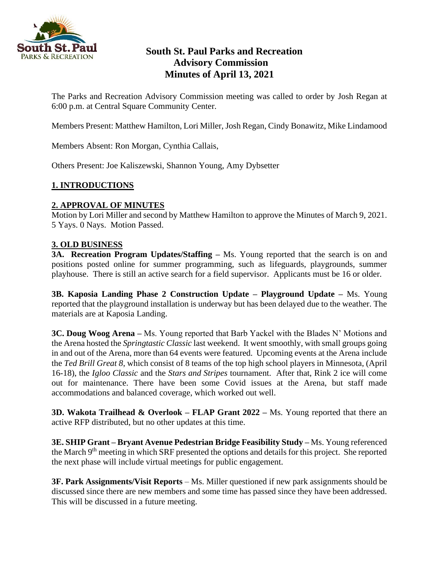

# **South St. Paul Parks and Recreation Advisory Commission Minutes of April 13, 2021**

The Parks and Recreation Advisory Commission meeting was called to order by Josh Regan at 6:00 p.m. at Central Square Community Center.

Members Present: Matthew Hamilton, Lori Miller, Josh Regan, Cindy Bonawitz, Mike Lindamood

Members Absent: Ron Morgan, Cynthia Callais,

Others Present: Joe Kaliszewski, Shannon Young, Amy Dybsetter

## **1. INTRODUCTIONS**

#### **2. APPROVAL OF MINUTES**

Motion by Lori Miller and second by Matthew Hamilton to approve the Minutes of March 9, 2021. 5 Yays. 0 Nays. Motion Passed.

#### **3. OLD BUSINESS**

**3A. Recreation Program Updates/Staffing –** Ms. Young reported that the search is on and positions posted online for summer programming, such as lifeguards, playgrounds, summer playhouse. There is still an active search for a field supervisor. Applicants must be 16 or older.

**3B. Kaposia Landing Phase 2 Construction Update – Playground Update –** Ms. Young reported that the playground installation is underway but has been delayed due to the weather. The materials are at Kaposia Landing.

**3C. Doug Woog Arena –** Ms. Young reported that Barb Yackel with the Blades N' Motions and the Arena hosted the *Springtastic Classic* last weekend. It went smoothly, with small groups going in and out of the Arena, more than 64 events were featured. Upcoming events at the Arena include the *Ted Brill Great 8*, which consist of 8 teams of the top high school players in Minnesota, (April 16-18), the *Igloo Classic* and the *Stars and Stripes* tournament. After that, Rink 2 ice will come out for maintenance. There have been some Covid issues at the Arena, but staff made accommodations and balanced coverage, which worked out well.

**3D. Wakota Trailhead & Overlook – FLAP Grant 2022 –** Ms. Young reported that there an active RFP distributed, but no other updates at this time.

**3E. SHIP Grant – Bryant Avenue Pedestrian Bridge Feasibility Study –** Ms. Young referenced the March 9th meeting in which SRF presented the options and details for this project. She reported the next phase will include virtual meetings for public engagement.

**3F. Park Assignments/Visit Reports** – Ms. Miller questioned if new park assignments should be discussed since there are new members and some time has passed since they have been addressed. This will be discussed in a future meeting.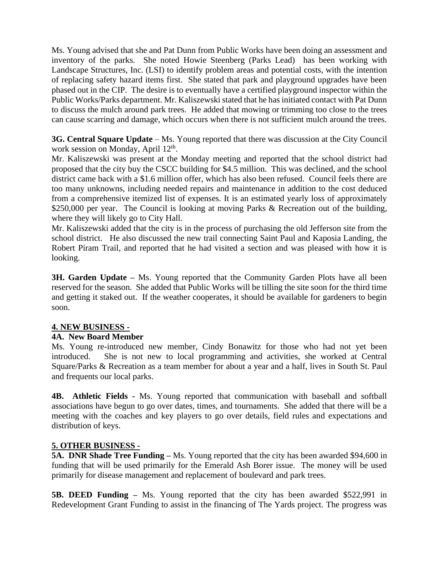Ms. Young advised that she and Pat Dunn from Public Works have been doing an assessment and inventory of the parks. She noted Howie Steenberg (Parks Lead) has been working with Landscape Structures, Inc. (LSI) to identify problem areas and potential costs, with the intention of replacing safety hazard items first. She stated that park and playground upgrades have been phased out in the CIP. The desire is to eventually have a certified playground inspector within the Public Works/Parks department. Mr. Kaliszewski stated that he has initiated contact with Pat Dunn to discuss the mulch around park trees. He added that mowing or trimming too close to the trees can cause scarring and damage, which occurs when there is not sufficient mulch around the trees.

**3G. Central Square Update** – Ms. Young reported that there was discussion at the City Council work session on Monday, April 12<sup>th</sup>.

Mr. Kaliszewski was present at the Monday meeting and reported that the school district had proposed that the city buy the CSCC building for \$4.5 million. This was declined, and the school district came back with a \$1.6 million offer, which has also been refused. Council feels there are too many unknowns, including needed repairs and maintenance in addition to the cost deduced from a comprehensive itemized list of expenses. It is an estimated yearly loss of approximately \$250,000 per year. The Council is looking at moving Parks & Recreation out of the building, where they will likely go to City Hall.

Mr. Kaliszewski added that the city is in the process of purchasing the old Jefferson site from the school district. He also discussed the new trail connecting Saint Paul and Kaposia Landing, the Robert Piram Trail, and reported that he had visited a section and was pleased with how it is looking.

**3H. Garden Update –** Ms. Young reported that the Community Garden Plots have all been reserved for the season. She added that Public Works will be tilling the site soon for the third time and getting it staked out. If the weather cooperates, it should be available for gardeners to begin soon.

## **4. NEW BUSINESS -**

## **4A. New Board Member**

Ms. Young re-introduced new member, Cindy Bonawitz for those who had not yet been introduced. She is not new to local programming and activities, she worked at Central Square/Parks & Recreation as a team member for about a year and a half, lives in South St. Paul and frequents our local parks.

**4B. Athletic Fields -** Ms. Young reported that communication with baseball and softball associations have begun to go over dates, times, and tournaments. She added that there will be a meeting with the coaches and key players to go over details, field rules and expectations and distribution of keys.

## **5. OTHER BUSINESS -**

**5A. DNR Shade Tree Funding – Ms. Young reported that the city has been awarded \$94,600 in** funding that will be used primarily for the Emerald Ash Borer issue. The money will be used primarily for disease management and replacement of boulevard and park trees.

**5B. DEED Funding –** Ms. Young reported that the city has been awarded \$522,991 in Redevelopment Grant Funding to assist in the financing of The Yards project. The progress was